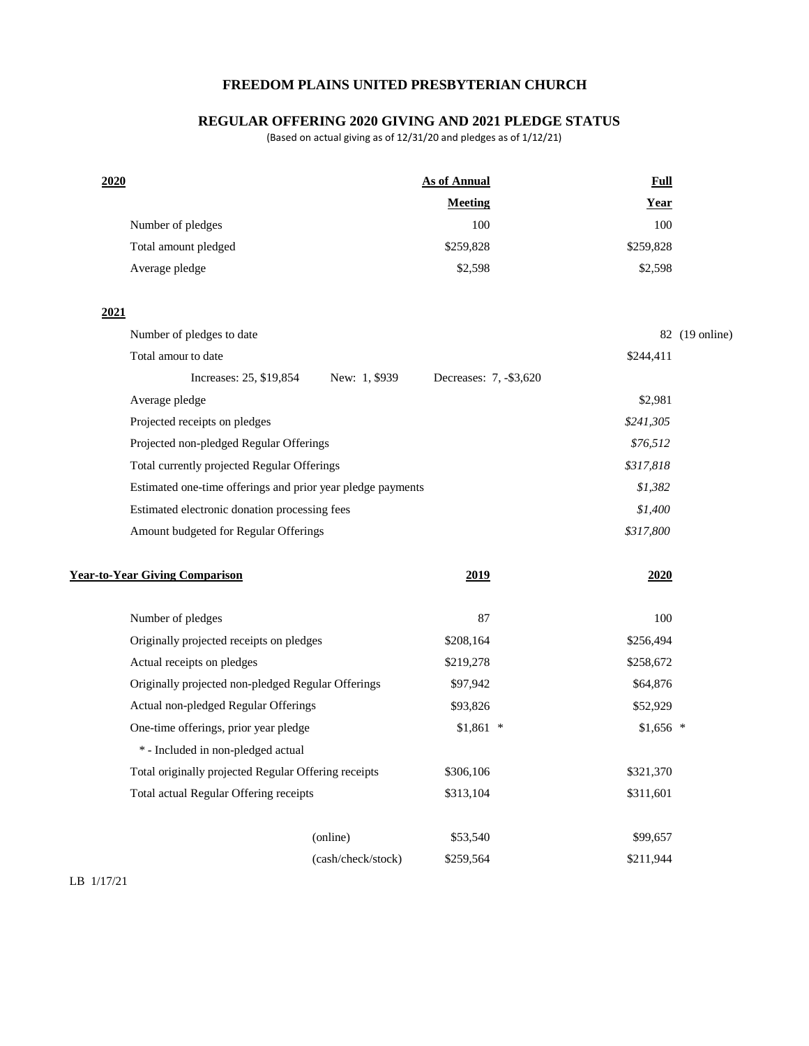## **FREEDOM PLAINS UNITED PRESBYTERIAN CHURCH**

## **REGULAR OFFERING 2020 GIVING AND 2021 PLEDGE STATUS**

(Based on actual giving as of 12/31/20 and pledges as of 1/12/21)

| 2020 |                                                             |                    | <b>As of Annual</b>    |  | <b>Full</b> |                |
|------|-------------------------------------------------------------|--------------------|------------------------|--|-------------|----------------|
|      |                                                             |                    | <b>Meeting</b>         |  | <b>Year</b> |                |
|      | Number of pledges                                           |                    | 100                    |  | 100         |                |
|      | Total amount pledged                                        |                    | \$259,828              |  | \$259,828   |                |
|      | Average pledge                                              |                    | \$2,598                |  | \$2,598     |                |
| 2021 |                                                             |                    |                        |  |             |                |
|      | Number of pledges to date                                   |                    |                        |  |             | 82 (19 online) |
|      | Total amour to date                                         |                    |                        |  | \$244,411   |                |
|      | Increases: 25, \$19,854                                     | New: 1, \$939      | Decreases: 7, -\$3,620 |  |             |                |
|      | Average pledge                                              |                    |                        |  | \$2,981     |                |
|      | Projected receipts on pledges                               |                    |                        |  | \$241,305   |                |
|      | Projected non-pledged Regular Offerings                     |                    |                        |  | \$76,512    |                |
|      | Total currently projected Regular Offerings                 |                    |                        |  | \$317,818   |                |
|      | Estimated one-time offerings and prior year pledge payments |                    |                        |  | \$1,382     |                |
|      | Estimated electronic donation processing fees               |                    |                        |  | \$1,400     |                |
|      | Amount budgeted for Regular Offerings                       |                    |                        |  | \$317,800   |                |
|      | <b>Year-to-Year Giving Comparison</b>                       |                    | 2019                   |  | 2020        |                |
|      | Number of pledges                                           |                    | 87                     |  | 100         |                |
|      | Originally projected receipts on pledges                    |                    | \$208,164              |  | \$256,494   |                |
|      | Actual receipts on pledges                                  |                    | \$219,278              |  | \$258,672   |                |
|      | Originally projected non-pledged Regular Offerings          |                    | \$97,942               |  | \$64,876    |                |
|      | Actual non-pledged Regular Offerings                        |                    | \$93,826               |  | \$52,929    |                |
|      | One-time offerings, prior year pledge                       |                    | $$1,861$ *             |  | $$1,656$ *  |                |
|      | * - Included in non-pledged actual                          |                    |                        |  |             |                |
|      | Total originally projected Regular Offering receipts        |                    | \$306,106              |  | \$321,370   |                |
|      | Total actual Regular Offering receipts                      |                    | \$313,104              |  | \$311,601   |                |
|      |                                                             | (online)           | \$53,540               |  | \$99,657    |                |
|      |                                                             | (cash/check/stock) | \$259,564              |  | \$211,944   |                |
|      |                                                             |                    |                        |  |             |                |

LB 1/17/21